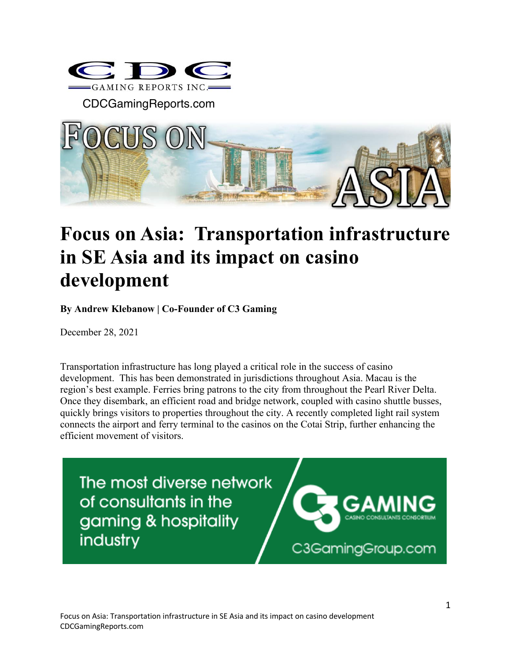

CDCGamingReports.com



## **Focus on Asia: Transportation infrastructure in SE Asia and its impact on casino development**

**By Andrew Klebanow | Co-Founder of C3 Gaming**

December 28, 2021

Transportation infrastructure has long played a critical role in the success of casino development. This has been demonstrated in jurisdictions throughout Asia. Macau is the region's best example. Ferries bring patrons to the city from throughout the Pearl River Delta. Once they disembark, an efficient road and bridge network, coupled with casino shuttle busses, quickly brings visitors to properties throughout the city. A recently completed light rail system connects the airport and ferry terminal to the casinos on the Cotai Strip, further enhancing the efficient movement of visitors.

The most diverse network of consultants in the gaming & hospitality industry

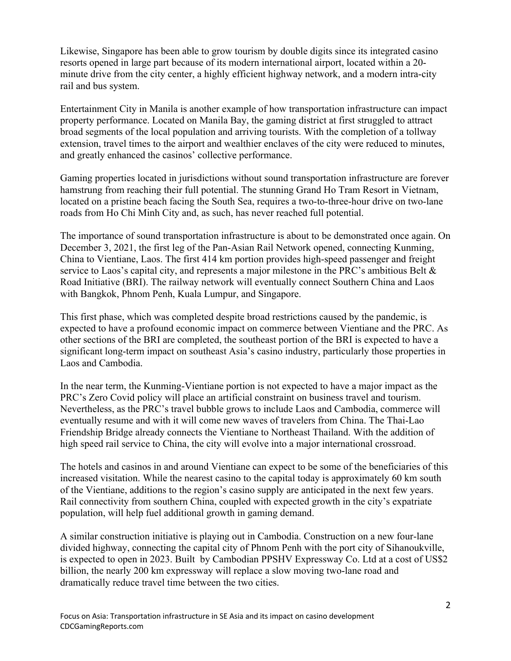Likewise, Singapore has been able to grow tourism by double digits since its integrated casino resorts opened in large part because of its modern international airport, located within a 20 minute drive from the city center, a highly efficient highway network, and a modern intra-city rail and bus system.

Entertainment City in Manila is another example of how transportation infrastructure can impact property performance. Located on Manila Bay, the gaming district at first struggled to attract broad segments of the local population and arriving tourists. With the completion of a tollway extension, travel times to the airport and wealthier enclaves of the city were reduced to minutes, and greatly enhanced the casinos' collective performance.

Gaming properties located in jurisdictions without sound transportation infrastructure are forever hamstrung from reaching their full potential. The stunning Grand Ho Tram Resort in Vietnam, located on a pristine beach facing the South Sea, requires a two-to-three-hour drive on two-lane roads from Ho Chi Minh City and, as such, has never reached full potential.

The importance of sound transportation infrastructure is about to be demonstrated once again. On December 3, 2021, the first leg of the Pan-Asian Rail Network opened, connecting Kunming, China to Vientiane, Laos. The first 414 km portion provides high-speed passenger and freight service to Laos's capital city, and represents a major milestone in the PRC's ambitious Belt & Road Initiative (BRI). The railway network will eventually connect Southern China and Laos with Bangkok, Phnom Penh, Kuala Lumpur, and Singapore.

This first phase, which was completed despite broad restrictions caused by the pandemic, is expected to have a profound economic impact on commerce between Vientiane and the PRC. As other sections of the BRI are completed, the southeast portion of the BRI is expected to have a significant long-term impact on southeast Asia's casino industry, particularly those properties in Laos and Cambodia.

In the near term, the Kunming-Vientiane portion is not expected to have a major impact as the PRC's Zero Covid policy will place an artificial constraint on business travel and tourism. Nevertheless, as the PRC's travel bubble grows to include Laos and Cambodia, commerce will eventually resume and with it will come new waves of travelers from China. The Thai-Lao Friendship Bridge already connects the Vientiane to Northeast Thailand. With the addition of high speed rail service to China, the city will evolve into a major international crossroad.

The hotels and casinos in and around Vientiane can expect to be some of the beneficiaries of this increased visitation. While the nearest casino to the capital today is approximately 60 km south of the Vientiane, additions to the region's casino supply are anticipated in the next few years. Rail connectivity from southern China, coupled with expected growth in the city's expatriate population, will help fuel additional growth in gaming demand.

A similar construction initiative is playing out in Cambodia. Construction on a new four-lane divided highway, connecting the capital city of Phnom Penh with the port city of Sihanoukville, is expected to open in 2023. Built by Cambodian PPSHV Expressway Co. Ltd at a cost of US\$2 billion, the nearly 200 km expressway will replace a slow moving two-lane road and dramatically reduce travel time between the two cities.